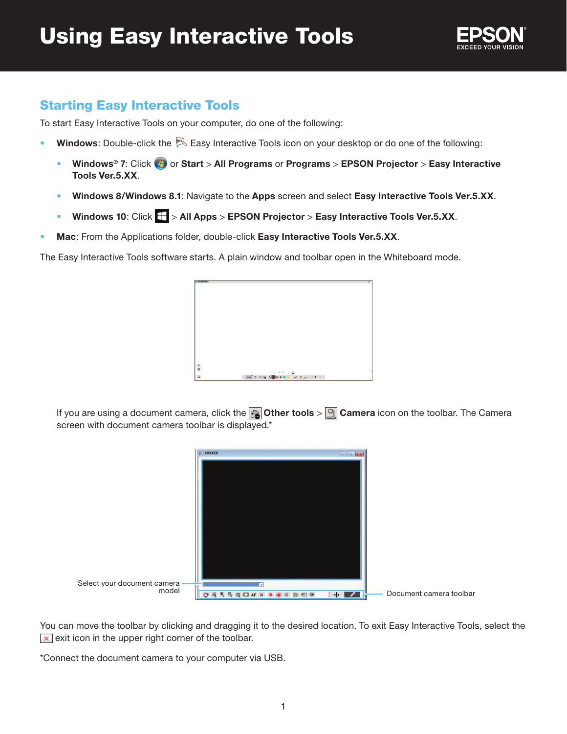

## Starting Easy Interactive Tools

To start Easy Interactive Tools on your computer, do one of the following:

- Windows: Double-click the  $\boxtimes$  Easy Interactive Tools icon on your desktop or do one of the following:
	- **Windows<sup>®</sup> 7: Click**  $\bigoplus$  **or Start** > All Programs or Programs > EPSON Projector > Easy Interactive **Tools Ver.5.XX**.
	- **Windows 8/Windows 8.1**: Navigate to the **Apps** screen and select **Easy Interactive Tools Ver.5.XX**.
	- **Windows 10**: Click > **All Apps** > **EPSON Projector** > **Easy Interactive Tools Ver.5.XX**.
- **Mac**: From the Applications folder, double-click **Easy Interactive Tools Ver.5.XX**.

The Easy Interactive Tools software starts. A plain window and toolbar open in the Whiteboard mode.



If you are using a document camera, click the **<sub>fa</sub> Other tools** > **q** Camera icon on the toolbar. The Camera screen with document camera toolbar is displayed.\*



You can move the toolbar by clicking and dragging it to the desired location. To exit Easy Interactive Tools, select the  $\overline{\mathbf{x}}$  exit icon in the upper right corner of the toolbar.

\*Connect the document camera to your computer via USB.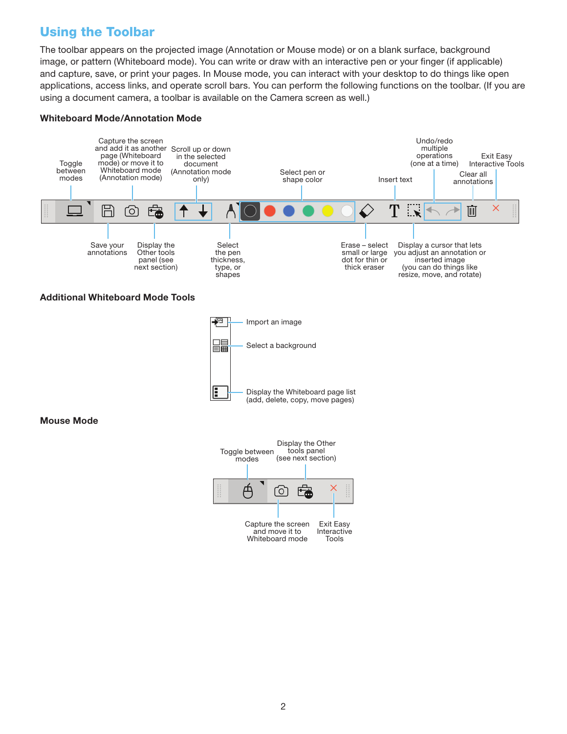# Using the Toolbar

The toolbar appears on the projected image (Annotation or Mouse mode) or on a blank surface, background image, or pattern (Whiteboard mode). You can write or draw with an interactive pen or your finger (if applicable) and capture, save, or print your pages. In Mouse mode, you can interact with your desktop to do things like open applications, access links, and operate scroll bars. You can perform the following functions on the toolbar. (If you are using a document camera, a toolbar is available on the Camera screen as well.)

#### **Whiteboard Mode/Annotation Mode**



### **Additional Whiteboard Mode Tools**



**Mouse Mode**

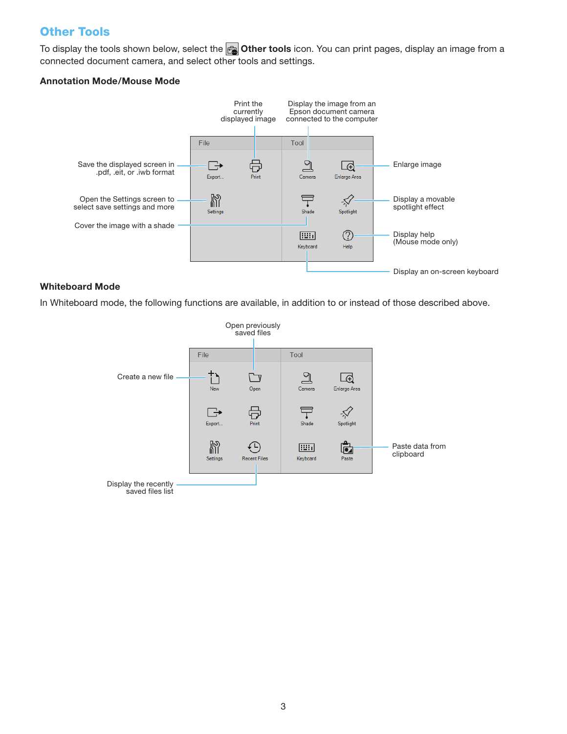### Other Tools

To display the tools shown below, select the **<sub>c</sub>** Other tools icon. You can print pages, display an image from a connected document camera, and select other tools and settings.

### **Annotation Mode/Mouse Mode**



### **Whiteboard Mode**

In Whiteboard mode, the following functions are available, in addition to or instead of those described above.

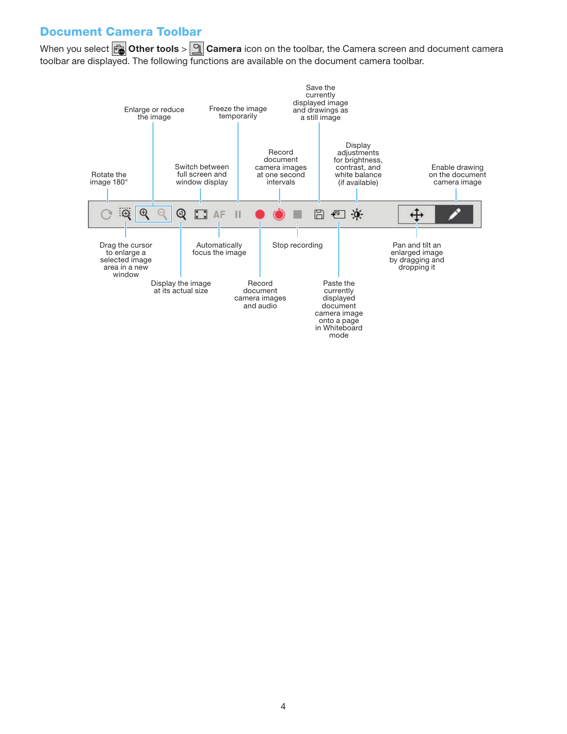## Document Camera Toolbar

When you select **Other tools** > **Camera** icon on the toolbar, the Camera screen and document camera toolbar are displayed. The following functions are available on the document camera toolbar.